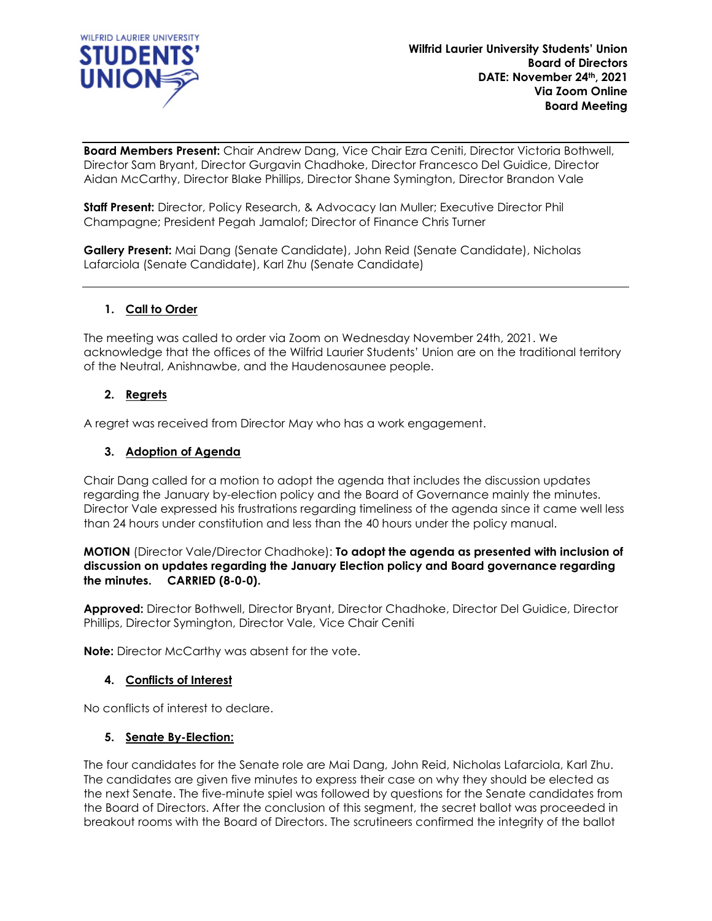

**Board Members Present:** Chair Andrew Dang, Vice Chair Ezra Ceniti, Director Victoria Bothwell, Director Sam Bryant, Director Gurgavin Chadhoke, Director Francesco Del Guidice, Director Aidan McCarthy, Director Blake Phillips, Director Shane Symington, Director Brandon Vale

**Staff Present:** Director, Policy Research, & Advocacy Ian Muller; Executive Director Phil Champagne; President Pegah Jamalof; Director of Finance Chris Turner

**Gallery Present:** Mai Dang (Senate Candidate), John Reid (Senate Candidate), Nicholas Lafarciola (Senate Candidate), Karl Zhu (Senate Candidate)

### **1. Call to Order**

The meeting was called to order via Zoom on Wednesday November 24th, 2021. We acknowledge that the offices of the Wilfrid Laurier Students' Union are on the traditional territory of the Neutral, Anishnawbe, and the Haudenosaunee people.

### **2. Regrets**

A regret was received from Director May who has a work engagement.

### **3. Adoption of Agenda**

Chair Dang called for a motion to adopt the agenda that includes the discussion updates regarding the January by-election policy and the Board of Governance mainly the minutes. Director Vale expressed his frustrations regarding timeliness of the agenda since it came well less than 24 hours under constitution and less than the 40 hours under the policy manual.

**MOTION** (Director Vale/Director Chadhoke): **To adopt the agenda as presented with inclusion of discussion on updates regarding the January Election policy and Board governance regarding the minutes. CARRIED (8-0-0).**

**Approved:** Director Bothwell, Director Bryant, Director Chadhoke, Director Del Guidice, Director Phillips, Director Symington, Director Vale, Vice Chair Ceniti

**Note:** Director McCarthy was absent for the vote.

### **4. Conflicts of Interest**

No conflicts of interest to declare.

### **5. Senate By-Election:**

The four candidates for the Senate role are Mai Dang, John Reid, Nicholas Lafarciola, Karl Zhu. The candidates are given five minutes to express their case on why they should be elected as the next Senate. The five-minute spiel was followed by questions for the Senate candidates from the Board of Directors. After the conclusion of this segment, the secret ballot was proceeded in breakout rooms with the Board of Directors. The scrutineers confirmed the integrity of the ballot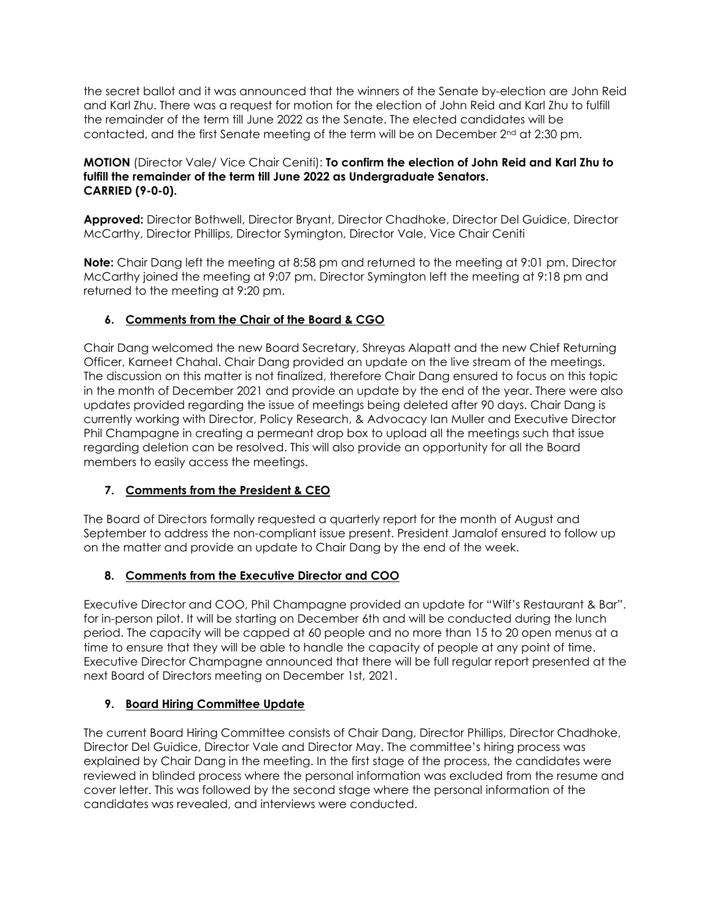the secret ballot and it was announced that the winners of the Senate by-election are John Reid and Karl Zhu. There was a request for motion for the election of John Reid and Karl Zhu to fulfill the remainder of the term till June 2022 as the Senate. The elected candidates will be contacted, and the first Senate meeting of the term will be on December  $2^{nd}$  at 2:30 pm.

### **MOTION** (Director Vale/ Vice Chair Ceniti): **To confirm the election of John Reid and Karl Zhu to fulfill the remainder of the term till June 2022 as Undergraduate Senators. CARRIED (9-0-0).**

**Approved:** Director Bothwell, Director Bryant, Director Chadhoke, Director Del Guidice, Director McCarthy, Director Phillips, Director Symington, Director Vale, Vice Chair Ceniti

**Note:** Chair Dang left the meeting at 8:58 pm and returned to the meeting at 9:01 pm. Director McCarthy joined the meeting at 9:07 pm. Director Symington left the meeting at 9:18 pm and returned to the meeting at 9:20 pm.

## **6. Comments from the Chair of the Board & CGO**

Chair Dang welcomed the new Board Secretary, Shreyas Alapatt and the new Chief Returning Officer, Karneet Chahal. Chair Dang provided an update on the live stream of the meetings. The discussion on this matter is not finalized, therefore Chair Dang ensured to focus on this topic in the month of December 2021 and provide an update by the end of the year. There were also updates provided regarding the issue of meetings being deleted after 90 days. Chair Dang is currently working with Director, Policy Research, & Advocacy Ian Muller and Executive Director Phil Champagne in creating a permeant drop box to upload all the meetings such that issue regarding deletion can be resolved. This will also provide an opportunity for all the Board members to easily access the meetings.

# **7. Comments from the President & CEO**

The Board of Directors formally requested a quarterly report for the month of August and September to address the non-compliant issue present. President Jamalof ensured to follow up on the matter and provide an update to Chair Dang by the end of the week.

## **8. Comments from the Executive Director and COO**

Executive Director and COO, Phil Champagne provided an update for "Wilf's Restaurant & Bar". for in-person pilot. It will be starting on December 6th and will be conducted during the lunch period. The capacity will be capped at 60 people and no more than 15 to 20 open menus at a time to ensure that they will be able to handle the capacity of people at any point of time. Executive Director Champagne announced that there will be full regular report presented at the next Board of Directors meeting on December 1st, 2021.

## **9. Board Hiring Committee Update**

The current Board Hiring Committee consists of Chair Dang, Director Phillips, Director Chadhoke, Director Del Guidice, Director Vale and Director May. The committee's hiring process was explained by Chair Dang in the meeting. In the first stage of the process, the candidates were reviewed in blinded process where the personal information was excluded from the resume and cover letter. This was followed by the second stage where the personal information of the candidates was revealed, and interviews were conducted.